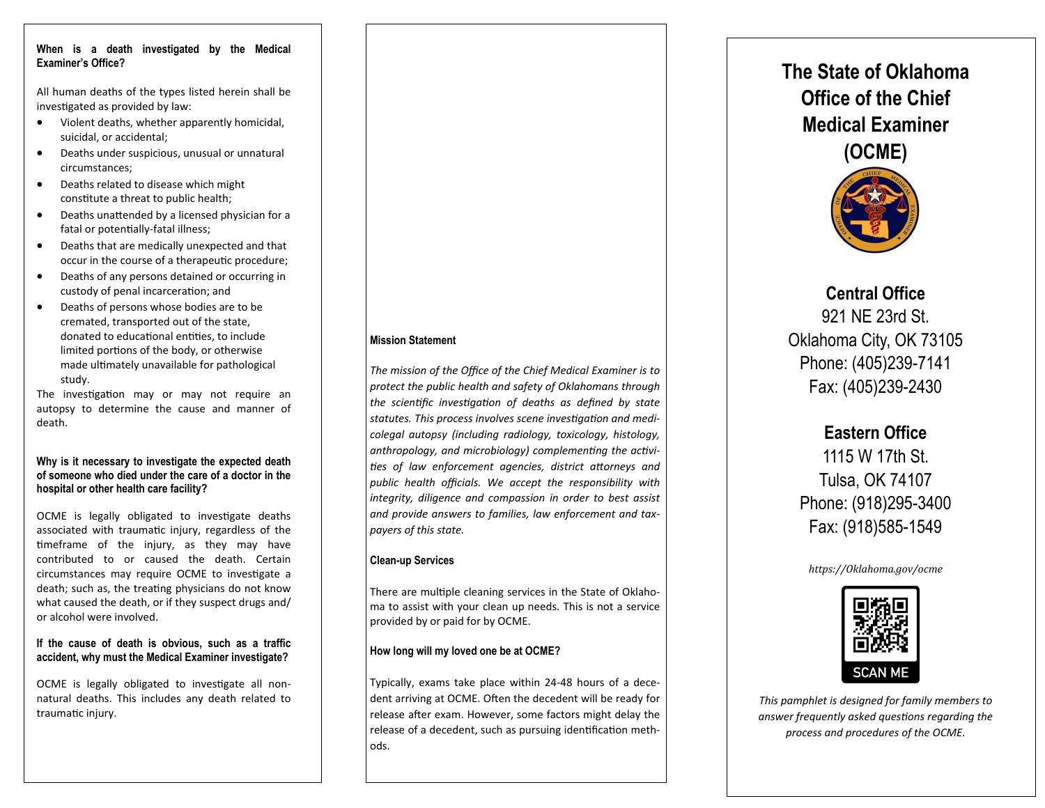#### **When is a death investigated by the Medical Examiner's Office?**

All human deaths of the types listed herein shall be investigated as provided by law:

- Violent deaths, whether apparently homicidal, suicidal, or accidental;
- Deaths under suspicious, unusual or unnatural circumstances;
- Deaths related to disease which might constitute a threat to public health;
- Deaths unattended by a licensed physician for a fatal or potentially-fatal illness;
- Deaths that are medically unexpected and that occur in the course of a therapeutic procedure;
- Deaths of any persons detained or occurring in custody of penal incarceration; and
- Deaths of persons whose bodies are to be cremated, transported out of the state, donated to educational entities, to include limited portions of the body, or otherwise made ultimately unavailable for pathological study.

The investigation may or may not require an autopsy to determine the cause and manner of death.

#### **Why is it necessary to investigate the expected death of someone who died under the care of a doctor in the hospital or other health care facility?**

OCME is legally obligated to investigate deaths associated with traumatic injury, regardless of the timeframe of the injury, as they may have contributed to or caused the death. Certain circumstances may require OCME to investigate a death; such as, the treating physicians do not know what caused the death, or if they suspect drugs and/ or alcohol were involved.

#### **If the cause of death is obvious, such as a traffic accident, why must the Medical Examiner investigate?**

OCME is legally obligated to investigate all nonnatural deaths. This includes any death related to traumatic injury.

#### **Mission Statement**

*The mission of the Office of the Chief Medical Examiner is to protect the public health and safety of Oklahomans through the scientific investigation of deaths as defined by state statutes. This process involves scene investigation and medicolegal autopsy (including radiology, toxicology, histology, anthropology, and microbiology) complementing the activities of law enforcement agencies, district attorneys and public health officials. We accept the responsibility with integrity, diligence and compassion in order to best assist and provide answers to families, law enforcement and taxpayers of this state.* 

#### **Clean-up Services**

There are multiple cleaning services in the State of Oklahoma to assist with your clean up needs. This is not a service provided by or paid for by OCME.

#### **How long will my loved one be at OCME?**

Typically, exams take place within 24-48 hours of a decedent arriving at OCME. Often the decedent will be ready for release after exam. However, some factors might delay the release of a decedent, such as pursuing identification methods.

# **The State of Oklahoma Office of the Chief Medical Examiner**



## **Central Office**

921 NE 23rd St. Oklahoma City, OK 73105 Phone: (405)239-7141 Fax: (405)239-2430

### **Eastern Office**

1115 W 17th St. Tulsa, OK 74107 Phone: (918)295-3400 Fax: (918)585-1549

#### *https://Oklahoma.gov/ocme*



*This pamphlet is designed for family members to answer frequently asked questions regarding the process and procedures of the OCME.*